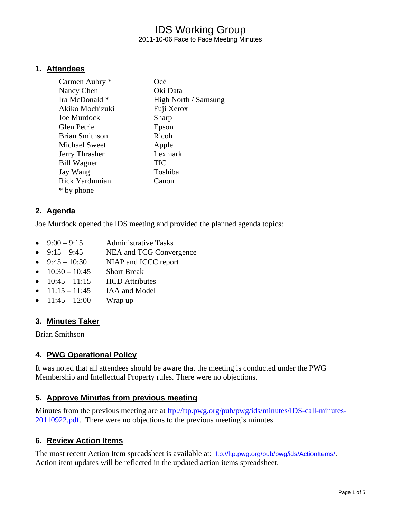# IDS Working Group 2011-10-06 Face to Face Meeting Minutes

#### **1. Attendees**

| Carmen Aubry *        | Océ                  |
|-----------------------|----------------------|
| Nancy Chen            | Oki Data             |
| Ira McDonald *        | High North / Samsung |
| Akiko Mochizuki       | Fuji Xerox           |
| Joe Murdock           | Sharp                |
| <b>Glen Petrie</b>    | Epson                |
| Brian Smithson        | Ricoh                |
| Michael Sweet         | Apple                |
| Jerry Thrasher        | Lexmark              |
| <b>Bill Wagner</b>    | <b>TIC</b>           |
| Jay Wang              | Toshiba              |
| <b>Rick Yardumian</b> | Canon                |
| * by phone            |                      |

#### **2. Agenda**

Joe Murdock opened the IDS meeting and provided the planned agenda topics:

- $9:00 9:15$  Administrative Tasks
- 9:15 9:45 NEA and TCG Convergence
- $9:45 10:30$  NIAP and ICCC report
- $10:30 10:45$  Short Break
- $\bullet$  10:45 11:15 HCD Attributes
- $11:15 11:45$  IAA and Model
- $11:45 12:00$  Wrap up

#### **3. Minutes Taker**

Brian Smithson

### **4. PWG Operational Policy**

It was noted that all attendees should be aware that the meeting is conducted under the PWG Membership and Intellectual Property rules. There were no objections.

#### **5. Approve Minutes from previous meeting**

Minutes from the previous meeting are at ftp://ftp.pwg.org/pub/pwg/ids/minutes/IDS-call-minutes-20110922.pdf. There were no objections to the previous meeting's minutes.

## **6. Review Action Items**

The most recent Action Item spreadsheet is available at: ftp://ftp.pwg.org/pub/pwg/ids/ActionItems/. Action item updates will be reflected in the updated action items spreadsheet.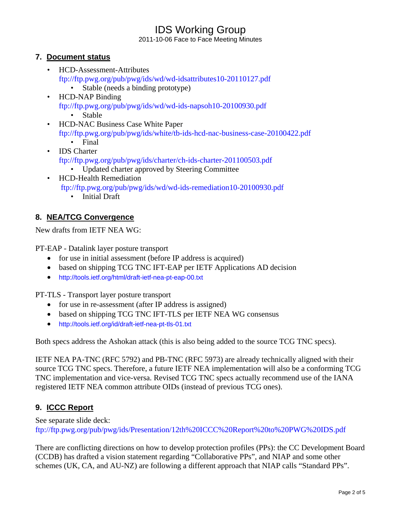2011-10-06 Face to Face Meeting Minutes

### **7. Document status**

- HCD-Assessment-Attributes ftp://ftp.pwg.org/pub/pwg/ids/wd/wd-idsattributes10-20110127.pdf
	- Stable (needs a binding prototype)
- HCD-NAP Binding ftp://ftp.pwg.org/pub/pwg/ids/wd/wd-ids-napsoh10-20100930.pdf • Stable
- HCD-NAC Business Case White Paper ftp://ftp.pwg.org/pub/pwg/ids/white/tb-ids-hcd-nac-business-case-20100422.pdf
	- Final
- IDS Charter ftp://ftp.pwg.org/pub/pwg/ids/charter/ch-ids-charter-201100503.pdf
	- Updated charter approved by Steering Committee
- HCD-Health Remediation ftp://ftp.pwg.org/pub/pwg/ids/wd/wd-ids-remediation10-20100930.pdf
	- Initial Draft

# **8. NEA/TCG Convergence**

New drafts from IETF NEA WG:

PT-EAP - Datalink layer posture transport

- for use in initial assessment (before IP address is acquired)
- based on shipping TCG TNC IFT-EAP per IETF Applications AD decision
- http://tools.ietf.org/html/draft-ietf-nea-pt-eap-00.txt

PT-TLS - Transport layer posture transport

- for use in re-assessment (after IP address is assigned)
- based on shipping TCG TNC IFT-TLS per IETF NEA WG consensus
- http://tools.ietf.org/id/draft-ietf-nea-pt-tls-01.txt

Both specs address the Ashokan attack (this is also being added to the source TCG TNC specs).

IETF NEA PA-TNC (RFC 5792) and PB-TNC (RFC 5973) are already technically aligned with their source TCG TNC specs. Therefore, a future IETF NEA implementation will also be a conforming TCG TNC implementation and vice-versa. Revised TCG TNC specs actually recommend use of the IANA registered IETF NEA common attribute OIDs (instead of previous TCG ones).

# **9. ICCC Report**

See separate slide deck: ftp://ftp.pwg.org/pub/pwg/ids/Presentation/12th%20ICCC%20Report%20to%20PWG%20IDS.pdf

There are conflicting directions on how to develop protection profiles (PPs): the CC Development Board (CCDB) has drafted a vision statement regarding "Collaborative PPs", and NIAP and some other schemes (UK, CA, and AU-NZ) are following a different approach that NIAP calls "Standard PPs".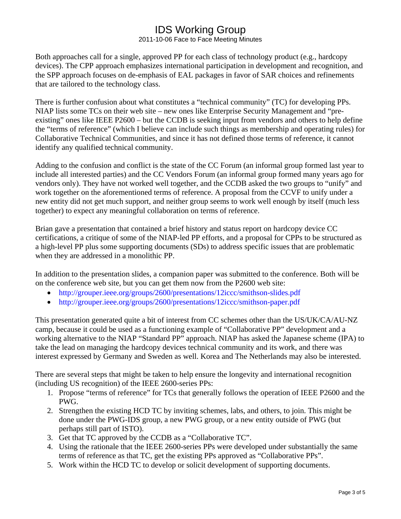2011-10-06 Face to Face Meeting Minutes

Both approaches call for a single, approved PP for each class of technology product (e.g., hardcopy devices). The CPP approach emphasizes international participation in development and recognition, and the SPP approach focuses on de-emphasis of EAL packages in favor of SAR choices and refinements that are tailored to the technology class.

There is further confusion about what constitutes a "technical community" (TC) for developing PPs. NIAP lists some TCs on their web site – new ones like Enterprise Security Management and "preexisting" ones like IEEE P2600 – but the CCDB is seeking input from vendors and others to help define the "terms of reference" (which I believe can include such things as membership and operating rules) for Collaborative Technical Communities, and since it has not defined those terms of reference, it cannot identify any qualified technical community.

Adding to the confusion and conflict is the state of the CC Forum (an informal group formed last year to include all interested parties) and the CC Vendors Forum (an informal group formed many years ago for vendors only). They have not worked well together, and the CCDB asked the two groups to "unify" and work together on the aforementioned terms of reference. A proposal from the CCVF to unify under a new entity did not get much support, and neither group seems to work well enough by itself (much less together) to expect any meaningful collaboration on terms of reference.

Brian gave a presentation that contained a brief history and status report on hardcopy device CC certifications, a critique of some of the NIAP-led PP efforts, and a proposal for CPPs to be structured as a high-level PP plus some supporting documents (SDs) to address specific issues that are problematic when they are addressed in a monolithic PP.

In addition to the presentation slides, a companion paper was submitted to the conference. Both will be on the conference web site, but you can get them now from the P2600 web site:

- http://grouper.ieee.org/groups/2600/presentations/12iccc/smithson-slides.pdf
- http://grouper.ieee.org/groups/2600/presentations/12iccc/smithson-paper.pdf

This presentation generated quite a bit of interest from CC schemes other than the US/UK/CA/AU-NZ camp, because it could be used as a functioning example of "Collaborative PP" development and a working alternative to the NIAP "Standard PP" approach. NIAP has asked the Japanese scheme (IPA) to take the lead on managing the hardcopy devices technical community and its work, and there was interest expressed by Germany and Sweden as well. Korea and The Netherlands may also be interested.

There are several steps that might be taken to help ensure the longevity and international recognition (including US recognition) of the IEEE 2600-series PPs:

- 1. Propose "terms of reference" for TCs that generally follows the operation of IEEE P2600 and the PWG.
- 2. Strengthen the existing HCD TC by inviting schemes, labs, and others, to join. This might be done under the PWG-IDS group, a new PWG group, or a new entity outside of PWG (but perhaps still part of ISTO).
- 3. Get that TC approved by the CCDB as a "Collaborative TC".
- 4. Using the rationale that the IEEE 2600-series PPs were developed under substantially the same terms of reference as that TC, get the existing PPs approved as "Collaborative PPs".
- 5. Work within the HCD TC to develop or solicit development of supporting documents.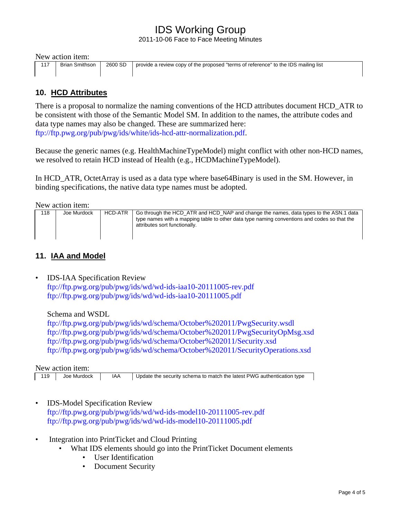2011-10-06 Face to Face Meeting Minutes

|  |  | New action item: |  |  |
|--|--|------------------|--|--|
|--|--|------------------|--|--|

| Brian Smithson | 2600 SD | `   provide a review copy of the proposed "terms of reference" to the IDS mailing list |
|----------------|---------|----------------------------------------------------------------------------------------|
|                |         |                                                                                        |

### **10. HCD Attributes**

There is a proposal to normalize the naming conventions of the HCD attributes document HCD\_ATR to be consistent with those of the Semantic Model SM. In addition to the names, the attribute codes and data type names may also be changed. These are summarized here: ftp://ftp.pwg.org/pub/pwg/ids/white/ids-hcd-attr-normalization.pdf.

Because the generic names (e.g. HealthMachineTypeModel) might conflict with other non-HCD names, we resolved to retain HCD instead of Health (e.g., HCDMachineTypeModel).

In HCD\_ATR, OctetArray is used as a data type where base64Binary is used in the SM. However, in binding specifications, the native data type names must be adopted.

New action item:

| 118 | Joe Murdock | HCD-ATR | Go through the HCD ATR and HCD NAP and change the names, data types to the ASN.1 data<br>type names with a mapping table to other data type naming conventions and codes so that the<br>attributes sort functionally. |
|-----|-------------|---------|-----------------------------------------------------------------------------------------------------------------------------------------------------------------------------------------------------------------------|
|     |             |         |                                                                                                                                                                                                                       |

#### **11. IAA and Model**

IDS-IAA Specification Review ftp://ftp.pwg.org/pub/pwg/ids/wd/wd-ids-iaa10-20111005-rev.pdf ftp://ftp.pwg.org/pub/pwg/ids/wd/wd-ids-iaa10-20111005.pdf

Schema and WSDL

ftp://ftp.pwg.org/pub/pwg/ids/wd/schema/October%202011/PwgSecurity.wsdl ftp://ftp.pwg.org/pub/pwg/ids/wd/schema/October%202011/PwgSecurityOpMsg.xsd ftp://ftp.pwg.org/pub/pwg/ids/wd/schema/October%202011/Security.xsd ftp://ftp.pwg.org/pub/pwg/ids/wd/schema/October%202011/SecurityOperations.xsd

New action item:

119 Joe Murdock | IAA | Update the security schema to match the latest PWG authentication type

- IDS-Model Specification Review ftp://ftp.pwg.org/pub/pwg/ids/wd/wd-ids-model10-20111005-rev.pdf ftp://ftp.pwg.org/pub/pwg/ids/wd/wd-ids-model10-20111005.pdf
- Integration into PrintTicket and Cloud Printing
	- What IDS elements should go into the PrintTicket Document elements
		- User Identification
		- Document Security